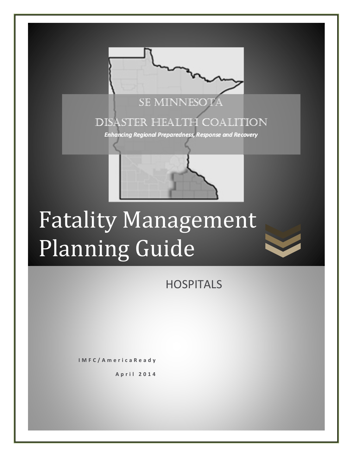

# Fatality Management Planning Guide

**HOSPITALS** 

**IMFC/AmericaReady**

**April 2014**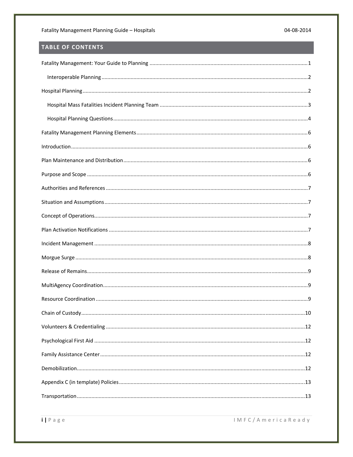# TABLE OF CONTENTS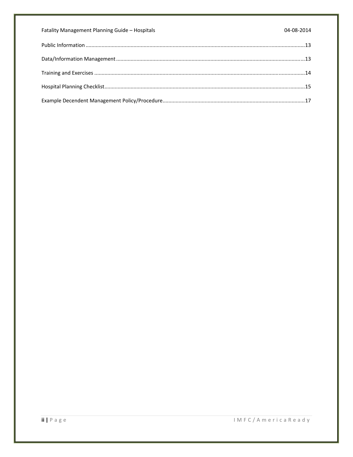| Fatality Management Planning Guide - Hospitals | 04-08-2014 |
|------------------------------------------------|------------|
|                                                |            |
|                                                |            |
|                                                |            |
|                                                |            |
|                                                |            |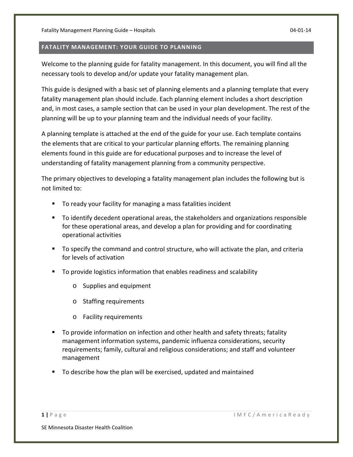#### **FATALITY MANAGEMENT: YOUR GUIDE TO PLANNING**

Welcome to the planning guide for fatality management. In this document, you will find all the necessary tools to develop and/or update your fatality management plan.

This guide is designed with a basic set of planning elements and a planning template that every fatality management plan should include. Each planning element includes a short description and, in most cases, a sample section that can be used in your plan development. The rest of the planning will be up to your planning team and the individual needs of your facility.

A planning template is attached at the end of the guide for your use. Each template contains the elements that are critical to your particular planning efforts. The remaining planning elements found in this guide are for educational purposes and to increase the level of understanding of fatality management planning from a community perspective.

The primary objectives to developing a fatality management plan includes the following but is not limited to:

- To ready your facility for managing a mass fatalities incident
- To identify decedent operational areas, the stakeholders and organizations responsible for these operational areas, and develop a plan for providing and for coordinating operational activities
- To specify the command and control structure, who will activate the plan, and criteria for levels of activation
- To provide logistics information that enables readiness and scalability
	- o Supplies and equipment
	- o Staffing requirements
	- o Facility requirements
- To provide information on infection and other health and safety threats; fatality management information systems, pandemic influenza considerations, security requirements; family, cultural and religious considerations; and staff and volunteer management
- To describe how the plan will be exercised, updated and maintained

**1 |** Page IMFC/AmericaReady

SE Minnesota Disaster Health Coalition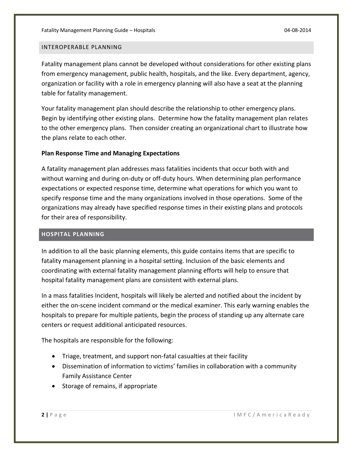#### INTEROPERABLE PLANNING

Fatality management plans cannot be developed without considerations for other existing plans from emergency management, public health, hospitals, and the like. Every department, agency, organization or facility with a role in emergency planning will also have a seat at the planning table for fatality management.

Your fatality management plan should describe the relationship to other emergency plans. Begin by identifying other existing plans. Determine how the fatality management plan relates to the other emergency plans. Then consider creating an organizational chart to illustrate how the plans relate to each other.

#### **Plan Response Time and Managing Expectations**

A fatality management plan addresses mass fatalities incidents that occur both with and without warning and during on-duty or off-duty hours. When determining plan performance expectations or expected response time, determine what operations for which you want to specify response time and the many organizations involved in those operations. Some of the organizations may already have specified response times in their existing plans and protocols for their area of responsibility.

#### **HOSPITAL PLANNING**

In addition to all the basic planning elements, this guide contains items that are specific to fatality management planning in a hospital setting. Inclusion of the basic elements and coordinating with external fatality management planning efforts will help to ensure that hospital fatality management plans are consistent with external plans.

In a mass fatalities Incident, hospitals will likely be alerted and notified about the incident by either the on‐scene incident command or the medical examiner. This early warning enables the hospitals to prepare for multiple patients, begin the process of standing up any alternate care centers or request additional anticipated resources.

The hospitals are responsible for the following:

- Triage, treatment, and support non-fatal casualties at their facility
- Dissemination of information to victims' families in collaboration with a community Family Assistance Center
- Storage of remains, if appropriate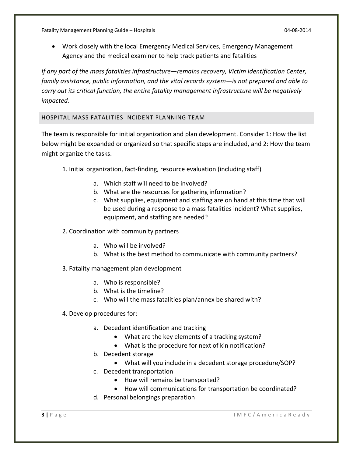Work closely with the local Emergency Medical Services, Emergency Management Agency and the medical examiner to help track patients and fatalities

*If any part of the mass fatalities infrastructure—remains recovery, Victim Identification Center, family assistance, public information, and the vital records system—is not prepared and able to carry out its critical function, the entire fatality management infrastructure will be negatively impacted.* 

#### HOSPITAL MASS FATALITIES INCIDENT PLANNING TEAM

The team is responsible for initial organization and plan development. Consider 1: How the list below might be expanded or organized so that specific steps are included, and 2: How the team might organize the tasks.

- 1. Initial organization, fact‐finding, resource evaluation (including staff)
	- a. Which staff will need to be involved?
	- b. What are the resources for gathering information?
	- c. What supplies, equipment and staffing are on hand at this time that will be used during a response to a mass fatalities incident? What supplies, equipment, and staffing are needed?

# 2. Coordination with community partners

- a. Who will be involved?
- b. What is the best method to communicate with community partners?
- 3. Fatality management plan development
	- a. Who is responsible?
	- b. What is the timeline?
	- c. Who will the mass fatalities plan/annex be shared with?
- 4. Develop procedures for:
	- a. Decedent identification and tracking
		- What are the key elements of a tracking system?
		- What is the procedure for next of kin notification?
	- b. Decedent storage
		- What will you include in a decedent storage procedure/SOP?
	- c. Decedent transportation
		- How will remains be transported?
		- How will communications for transportation be coordinated?
	- d. Personal belongings preparation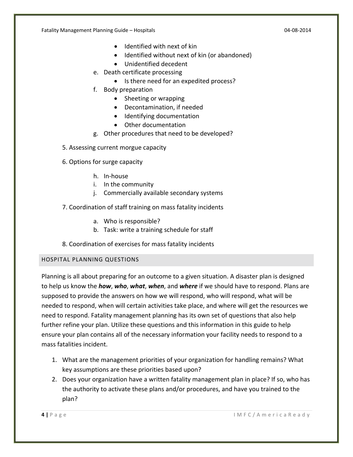- Identified with next of kin
- Identified without next of kin (or abandoned)
- Unidentified decedent
- e. Death certificate processing
	- Is there need for an expedited process?
- f. Body preparation
	- Sheeting or wrapping
	- Decontamination, if needed
	- Identifying documentation
	- Other documentation
- g. Other procedures that need to be developed?
- 5. Assessing current morgue capacity
- 6. Options for surge capacity
	- h. In‐house
	- i. In the community
	- j. Commercially available secondary systems
- 7. Coordination of staff training on mass fatality incidents
	- a. Who is responsible?
	- b. Task: write a training schedule for staff
- 8. Coordination of exercises for mass fatality incidents

# HOSPITAL PLANNING QUESTIONS

Planning is all about preparing for an outcome to a given situation. A disaster plan is designed to help us know the *how*, *who*, *what*, *when*, and *where* if we should have to respond. Plans are supposed to provide the answers on how we will respond, who will respond, what will be needed to respond, when will certain activities take place, and where will get the resources we need to respond. Fatality management planning has its own set of questions that also help further refine your plan. Utilize these questions and this information in this guide to help ensure your plan contains all of the necessary information your facility needs to respond to a mass fatalities incident.

- 1. What are the management priorities of your organization for handling remains? What key assumptions are these priorities based upon?
- 2. Does your organization have a written fatality management plan in place? If so, who has the authority to activate these plans and/or procedures, and have you trained to the plan?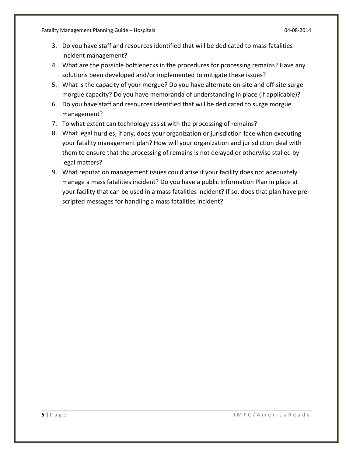- 3. Do you have staff and resources identified that will be dedicated to mass fatalities incident management?
- 4. What are the possible bottlenecks in the procedures for processing remains? Have any solutions been developed and/or implemented to mitigate these issues?
- 5. What is the capacity of your morgue? Do you have alternate on-site and off-site surge morgue capacity? Do you have memoranda of understanding in place (if applicable)?
- 6. Do you have staff and resources identified that will be dedicated to surge morgue management?
- 7. To what extent can technology assist with the processing of remains?
- 8. What legal hurdles, if any, does your organization or jurisdiction face when executing your fatality management plan? How will your organization and jurisdiction deal with them to ensure that the processing of remains is not delayed or otherwise stalled by legal matters?
- 9. What reputation management issues could arise if your facility does not adequately manage a mass fatalities incident? Do you have a public Information Plan in place at your facility that can be used in a mass fatalities incident? If so, does that plan have pre‐ scripted messages for handling a mass fatalities incident?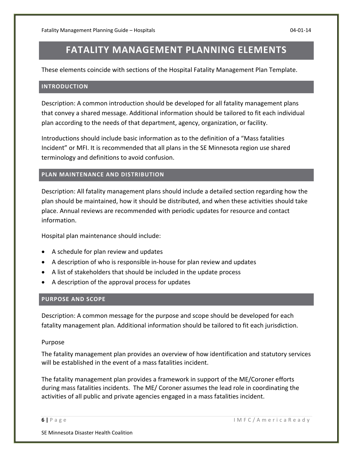# **FATALITY MANAGEMENT PLANNING ELEMENTS**

These elements coincide with sections of the Hospital Fatality Management Plan Template.

#### **INTRODUCTION**

Description: A common introduction should be developed for all fatality management plans that convey a shared message. Additional information should be tailored to fit each individual plan according to the needs of that department, agency, organization, or facility.

Introductions should include basic information as to the definition of a "Mass fatalities Incident" or MFI. It is recommended that all plans in the SE Minnesota region use shared terminology and definitions to avoid confusion.

#### **PLAN MAINTENANCE AND DISTRIBUTION**

Description: All fatality management plans should include a detailed section regarding how the plan should be maintained, how it should be distributed, and when these activities should take place. Annual reviews are recommended with periodic updates for resource and contact information.

Hospital plan maintenance should include:

- A schedule for plan review and updates
- A description of who is responsible in-house for plan review and updates
- A list of stakeholders that should be included in the update process
- A description of the approval process for updates

#### **PURPOSE AND SCOPE**

Description: A common message for the purpose and scope should be developed for each fatality management plan. Additional information should be tailored to fit each jurisdiction.

#### Purpose

The fatality management plan provides an overview of how identification and statutory services will be established in the event of a mass fatalities incident.

The fatality management plan provides a framework in support of the ME/Coroner efforts during mass fatalities incidents. The ME/ Coroner assumes the lead role in coordinating the activities of all public and private agencies engaged in a mass fatalities incident.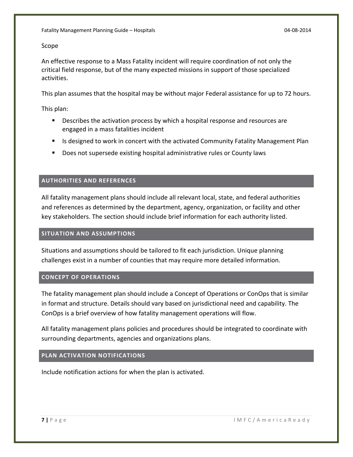#### Scope

An effective response to a Mass Fatality incident will require coordination of not only the critical field response, but of the many expected missions in support of those specialized activities.

This plan assumes that the hospital may be without major Federal assistance for up to 72 hours.

This plan:

- **Describes the activation process by which a hospital response and resources are** engaged in a mass fatalities incident
- **If all is designed to work in concert with the activated Community Fatality Management Plan**
- **Does not supersede existing hospital administrative rules or County laws**

# **AUTHORITIES AND REFERENCES**

All fatality management plans should include all relevant local, state, and federal authorities and references as determined by the department, agency, organization, or facility and other key stakeholders. The section should include brief information for each authority listed.

# **SITUATION AND ASSUMPTIONS**

Situations and assumptions should be tailored to fit each jurisdiction. Unique planning challenges exist in a number of counties that may require more detailed information.

# **CONCEPT OF OPERATIONS**

The fatality management plan should include a Concept of Operations or ConOps that is similar in format and structure. Details should vary based on jurisdictional need and capability. The ConOps is a brief overview of how fatality management operations will flow.

All fatality management plans policies and procedures should be integrated to coordinate with surrounding departments, agencies and organizations plans.

# **PLAN ACTIVATION NOTIFICATIONS**

Include notification actions for when the plan is activated.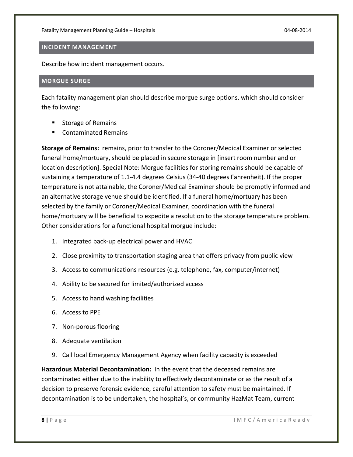#### **INCIDENT MANAGEMENT**

Describe how incident management occurs.

#### **MORGUE SURGE**

Each fatality management plan should describe morgue surge options, which should consider the following:

- **Storage of Remains**
- **EXECONTER CONTAINATED EXECUTE**

**Storage of Remains:** remains, prior to transfer to the Coroner/Medical Examiner or selected funeral home/mortuary, should be placed in secure storage in [insert room number and or location description]. Special Note: Morgue facilities for storing remains should be capable of sustaining a temperature of 1.1‐4.4 degrees Celsius (34‐40 degrees Fahrenheit). If the proper temperature is not attainable, the Coroner/Medical Examiner should be promptly informed and an alternative storage venue should be identified. If a funeral home/mortuary has been selected by the family or Coroner/Medical Examiner, coordination with the funeral home/mortuary will be beneficial to expedite a resolution to the storage temperature problem. Other considerations for a functional hospital morgue include:

- 1. Integrated back‐up electrical power and HVAC
- 2. Close proximity to transportation staging area that offers privacy from public view
- 3. Access to communications resources (e.g. telephone, fax, computer/internet)
- 4. Ability to be secured for limited/authorized access
- 5. Access to hand washing facilities
- 6. Access to PPE
- 7. Non‐porous flooring
- 8. Adequate ventilation
- 9. Call local Emergency Management Agency when facility capacity is exceeded

**Hazardous Material Decontamination:** In the event that the deceased remains are contaminated either due to the inability to effectively decontaminate or as the result of a decision to preserve forensic evidence, careful attention to safety must be maintained. If decontamination is to be undertaken, the hospital's, or community HazMat Team, current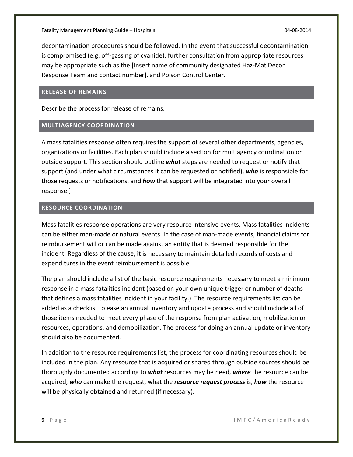decontamination procedures should be followed. In the event that successful decontamination is compromised (e.g. off‐gassing of cyanide), further consultation from appropriate resources may be appropriate such as the [Insert name of community designated Haz‐Mat Decon Response Team and contact number], and Poison Control Center.

#### **RELEASE OF REMAINS**

Describe the process for release of remains.

#### **MULTIAGENCY COORDINATION**

A mass fatalities response often requires the support of several other departments, agencies, organizations or facilities. Each plan should include a section for multiagency coordination or outside support. This section should outline *what* steps are needed to request or notify that support (and under what circumstances it can be requested or notified), *who* is responsible for those requests or notifications, and *how* that support will be integrated into your overall response.]

#### **RESOURCE COORDINATION**

Mass fatalities response operations are very resource intensive events. Mass fatalities incidents can be either man-made or natural events. In the case of man-made events, financial claims for reimbursement will or can be made against an entity that is deemed responsible for the incident. Regardless of the cause, it is necessary to maintain detailed records of costs and expenditures in the event reimbursement is possible.

The plan should include a list of the basic resource requirements necessary to meet a minimum response in a mass fatalities incident (based on your own unique trigger or number of deaths that defines a mass fatalities incident in your facility.) The resource requirements list can be added as a checklist to ease an annual inventory and update process and should include all of those items needed to meet every phase of the response from plan activation, mobilization or resources, operations, and demobilization. The process for doing an annual update or inventory should also be documented.

In addition to the resource requirements list, the process for coordinating resources should be included in the plan. Any resource that is acquired or shared through outside sources should be thoroughly documented according to *what* resources may be need, *where* the resource can be acquired, *who* can make the request, what the *resource request process* is, *how* the resource will be physically obtained and returned (if necessary).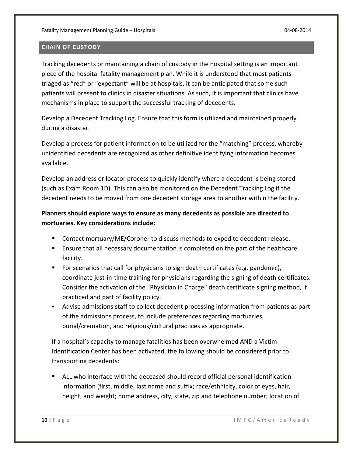#### **CHAIN OF CUSTODY**

Tracking decedents or maintaining a chain of custody in the hospital setting is an important piece of the hospital fatality management plan. While it is understood that most patients triaged as "red" or "expectant" will be at hospitals, it can be anticipated that some such patients will present to clinics in disaster situations. As such, it is important that clinics have mechanisms in place to support the successful tracking of decedents.

Develop a Decedent Tracking Log. Ensure that this form is utilized and maintained properly during a disaster.

Develop a process for patient information to be utilized for the "matching" process, whereby unidentified decedents are recognized as other definitive identifying information becomes available.

Develop an address or locator process to quickly identify where a decedent is being stored (such as Exam Room 1D). This can also be monitored on the Decedent Tracking Log if the decedent needs to be moved from one decedent storage area to another within the facility.

# **Planners should explore ways to ensure as many decedents as possible are directed to mortuaries. Key considerations include:**

- Contact mortuary/ME/Coroner to discuss methods to expedite decedent release.
- Ensure that all necessary documentation is completed on the part of the healthcare facility.
- For scenarios that call for physicians to sign death certificates (e.g. pandemic), coordinate just‐in‐time training for physicians regarding the signing of death certificates. Consider the activation of the "Physician in Charge" death certificate signing method, if practiced and part of facility policy.
- Advise admissions staff to collect decedent processing information from patients as part of the admissions process, to include preferences regarding mortuaries, burial/cremation, and religious/cultural practices as appropriate.

If a hospital's capacity to manage fatalities has been overwhelmed AND a Victim Identification Center has been activated, the following should be considered prior to transporting decedents:

 ALL who interface with the deceased should record official personal identification information (first, middle, last name and suffix; race/ethnicity, color of eyes, hair, height, and weight; home address, city, state, zip and telephone number; location of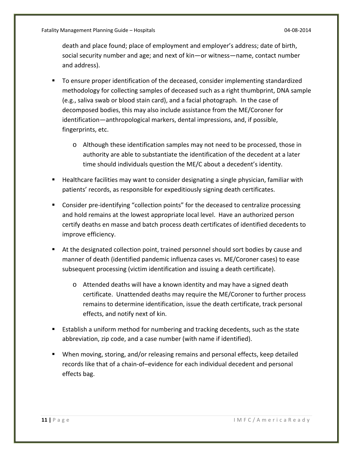death and place found; place of employment and employer's address; date of birth, social security number and age; and next of kin—or witness—name, contact number and address).

- To ensure proper identification of the deceased, consider implementing standardized methodology for collecting samples of deceased such as a right thumbprint, DNA sample (e.g., saliva swab or blood stain card), and a facial photograph. In the case of decomposed bodies, this may also include assistance from the ME/Coroner for identification—anthropological markers, dental impressions, and, if possible, fingerprints, etc.
	- o Although these identification samples may not need to be processed, those in authority are able to substantiate the identification of the decedent at a later time should individuals question the ME/C about a decedent's identity.
- **Healthcare facilities may want to consider designating a single physician, familiar with** patients' records, as responsible for expeditiously signing death certificates.
- Consider pre-identifying "collection points" for the deceased to centralize processing and hold remains at the lowest appropriate local level. Have an authorized person certify deaths en masse and batch process death certificates of identified decedents to improve efficiency.
- At the designated collection point, trained personnel should sort bodies by cause and manner of death (identified pandemic influenza cases vs. ME/Coroner cases) to ease subsequent processing (victim identification and issuing a death certificate).
	- o Attended deaths will have a known identity and may have a signed death certificate. Unattended deaths may require the ME/Coroner to further process remains to determine identification, issue the death certificate, track personal effects, and notify next of kin.
- Establish a uniform method for numbering and tracking decedents, such as the state abbreviation, zip code, and a case number (with name if identified).
- When moving, storing, and/or releasing remains and personal effects, keep detailed records like that of a chain‐of–evidence for each individual decedent and personal effects bag.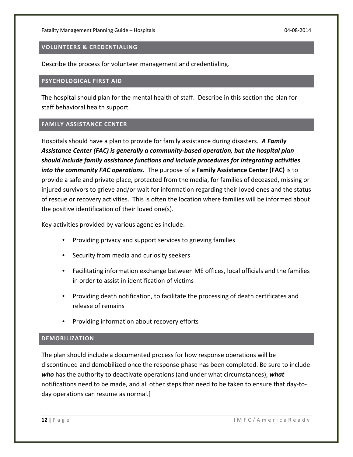#### **VOLUNTEERS & CREDENTIALING**

Describe the process for volunteer management and credentialing.

#### **PSYCHOLOGICAL FIRST AID**

The hospital should plan for the mental health of staff. Describe in this section the plan for staff behavioral health support.

#### **FAMILY ASSISTANCE CENTER**

Hospitals should have a plan to provide for family assistance during disasters. *A Family Assistance Center (FAC) is generally a community‐based operation, but the hospital plan should include family assistance functions and include procedures for integrating activities into the community FAC operations.* The purpose of a **Family Assistance Center (FAC)** is to provide a safe and private place, protected from the media, for families of deceased, missing or injured survivors to grieve and/or wait for information regarding their loved ones and the status of rescue or recovery activities. This is often the location where families will be informed about the positive identification of their loved one(s).

Key activities provided by various agencies include:

- Providing privacy and support services to grieving families
- Security from media and curiosity seekers
- Facilitating information exchange between ME offices, local officials and the families in order to assist in identification of victims
- Providing death notification, to facilitate the processing of death certificates and release of remains
- Providing information about recovery efforts

#### **DEMOBILIZATION**

The plan should include a documented process for how response operations will be discontinued and demobilized once the response phase has been completed. Be sure to include *who* has the authority to deactivate operations (and under what circumstances), *what* notifications need to be made, and all other steps that need to be taken to ensure that day‐to‐ day operations can resume as normal.]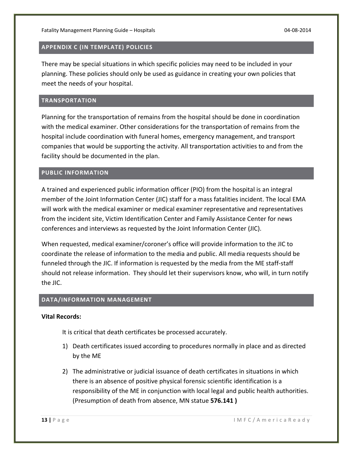#### **APPENDIX C (IN TEMPLATE) POLICIES**

There may be special situations in which specific policies may need to be included in your planning. These policies should only be used as guidance in creating your own policies that meet the needs of your hospital.

#### **TRANSPORTATION**

Planning for the transportation of remains from the hospital should be done in coordination with the medical examiner. Other considerations for the transportation of remains from the hospital include coordination with funeral homes, emergency management, and transport companies that would be supporting the activity. All transportation activities to and from the facility should be documented in the plan.

#### **PUBLIC INFORMATION**

A trained and experienced public information officer (PIO) from the hospital is an integral member of the Joint Information Center (JIC) staff for a mass fatalities incident. The local EMA will work with the medical examiner or medical examiner representative and representatives from the incident site, Victim Identification Center and Family Assistance Center for news conferences and interviews as requested by the Joint Information Center (JIC).

When requested, medical examiner/coroner's office will provide information to the JIC to coordinate the release of information to the media and public. All media requests should be funneled through the JIC. If information is requested by the media from the ME staff‐staff should not release information. They should let their supervisors know, who will, in turn notify the JIC.

#### **DATA/INFORMATION MANAGEMENT**

#### **Vital Records:**

It is critical that death certificates be processed accurately.

- 1) Death certificates issued according to procedures normally in place and as directed by the ME
- 2) The administrative or judicial issuance of death certificates in situations in which there is an absence of positive physical forensic scientific identification is a responsibility of the ME in conjunction with local legal and public health authorities. (Presumption of death from absence, MN statue **576.141 )**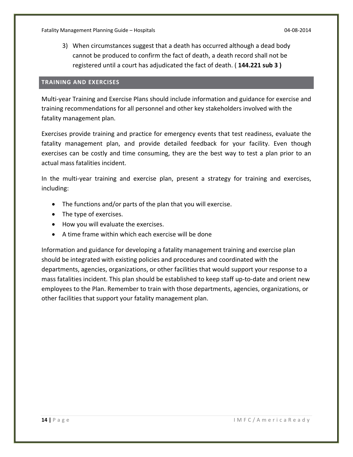3) When circumstances suggest that a death has occurred although a dead body cannot be produced to confirm the fact of death, a death record shall not be registered until a court has adjudicated the fact of death. ( **144.221 sub 3 )**

#### **TRAINING AND EXERCISES**

Multi‐year Training and Exercise Plans should include information and guidance for exercise and training recommendations for all personnel and other key stakeholders involved with the fatality management plan.

Exercises provide training and practice for emergency events that test readiness, evaluate the fatality management plan, and provide detailed feedback for your facility. Even though exercises can be costly and time consuming, they are the best way to test a plan prior to an actual mass fatalities incident.

In the multi-year training and exercise plan, present a strategy for training and exercises, including:

- The functions and/or parts of the plan that you will exercise.
- The type of exercises.
- How you will evaluate the exercises.
- A time frame within which each exercise will be done

Information and guidance for developing a fatality management training and exercise plan should be integrated with existing policies and procedures and coordinated with the departments, agencies, organizations, or other facilities that would support your response to a mass fatalities incident. This plan should be established to keep staff up-to-date and orient new employees to the Plan. Remember to train with those departments, agencies, organizations, or other facilities that support your fatality management plan.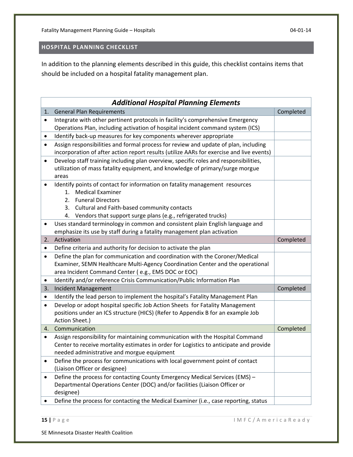# **HOSPITAL PLANNING CHECKLIST**

In addition to the planning elements described in this guide, this checklist contains items that should be included on a hospital fatality management plan.

| <b>Additional Hospital Planning Elements</b> |                                                                                                                                                                         |           |  |
|----------------------------------------------|-------------------------------------------------------------------------------------------------------------------------------------------------------------------------|-----------|--|
| 1.                                           | <b>General Plan Requirements</b>                                                                                                                                        | Completed |  |
| $\bullet$                                    | Integrate with other pertinent protocols in facility's comprehensive Emergency                                                                                          |           |  |
|                                              | Operations Plan, including activation of hospital incident command system (ICS)                                                                                         |           |  |
| $\bullet$                                    | Identify back-up measures for key components wherever appropriate                                                                                                       |           |  |
| $\bullet$                                    | Assign responsibilities and formal process for review and update of plan, including                                                                                     |           |  |
|                                              | incorporation of after action report results (utilize AARs for exercise and live events)                                                                                |           |  |
| $\bullet$                                    | Develop staff training including plan overview, specific roles and responsibilities,                                                                                    |           |  |
|                                              | utilization of mass fatality equipment, and knowledge of primary/surge morgue                                                                                           |           |  |
|                                              | areas                                                                                                                                                                   |           |  |
| ٠                                            | Identify points of contact for information on fatality management resources                                                                                             |           |  |
|                                              | 1. Medical Examiner                                                                                                                                                     |           |  |
|                                              | <b>Funeral Directors</b><br>2.                                                                                                                                          |           |  |
|                                              | Cultural and Faith-based community contacts<br>3.                                                                                                                       |           |  |
|                                              | Vendors that support surge plans (e.g., refrigerated trucks)<br>4.                                                                                                      |           |  |
| ٠                                            | Uses standard terminology in common and consistent plain English language and                                                                                           |           |  |
|                                              | emphasize its use by staff during a fatality management plan activation                                                                                                 |           |  |
| 2.                                           | Activation                                                                                                                                                              | Completed |  |
| ٠                                            | Define criteria and authority for decision to activate the plan                                                                                                         |           |  |
| $\bullet$                                    | Define the plan for communication and coordination with the Coroner/Medical                                                                                             |           |  |
|                                              | Examiner, SEMN Healthcare Multi-Agency Coordination Center and the operational                                                                                          |           |  |
|                                              | area Incident Command Center (e.g., EMS DOC or EOC)                                                                                                                     |           |  |
| ٠                                            | Identify and/or reference Crisis Communication/Public Information Plan                                                                                                  |           |  |
| 3.                                           | <b>Incident Management</b>                                                                                                                                              | Completed |  |
| $\bullet$                                    | Identify the lead person to implement the hospital's Fatality Management Plan                                                                                           |           |  |
| $\bullet$                                    | Develop or adopt hospital specific Job Action Sheets for Fatality Management                                                                                            |           |  |
|                                              | positions under an ICS structure (HICS) (Refer to Appendix B for an example Job<br>Action Sheet.)                                                                       |           |  |
| 4.                                           | Communication                                                                                                                                                           | Completed |  |
|                                              |                                                                                                                                                                         |           |  |
| $\bullet$                                    | Assign responsibility for maintaining communication with the Hospital Command<br>Center to receive mortality estimates in order for Logistics to anticipate and provide |           |  |
|                                              | needed administrative and morgue equipment                                                                                                                              |           |  |
|                                              | Define the process for communications with local government point of contact                                                                                            |           |  |
|                                              | (Liaison Officer or designee)                                                                                                                                           |           |  |
|                                              | Define the process for contacting County Emergency Medical Services (EMS) -                                                                                             |           |  |
|                                              | Departmental Operations Center (DOC) and/or facilities (Liaison Officer or                                                                                              |           |  |
|                                              | designee)                                                                                                                                                               |           |  |
|                                              | Define the process for contacting the Medical Examiner (i.e., case reporting, status                                                                                    |           |  |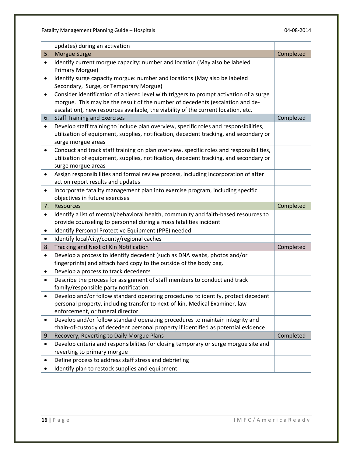|           | updates) during an activation                                                           |           |
|-----------|-----------------------------------------------------------------------------------------|-----------|
| 5.        | <b>Morgue Surge</b>                                                                     | Completed |
| $\bullet$ | Identify current morgue capacity: number and location (May also be labeled              |           |
|           | Primary Morgue)                                                                         |           |
| $\bullet$ | Identify surge capacity morgue: number and locations (May also be labeled               |           |
|           | Secondary, Surge, or Temporary Morgue)                                                  |           |
| $\bullet$ | Consider identification of a tiered level with triggers to prompt activation of a surge |           |
|           | morgue. This may be the result of the number of decedents (escalation and de-           |           |
|           | escalation), new resources available, the viability of the current location, etc.       |           |
| 6.        | <b>Staff Training and Exercises</b>                                                     | Completed |
| $\bullet$ | Develop staff training to include plan overview, specific roles and responsibilities,   |           |
|           | utilization of equipment, supplies, notification, decedent tracking, and secondary or   |           |
|           | surge morgue areas                                                                      |           |
| ٠         | Conduct and track staff training on plan overview, specific roles and responsibilities, |           |
|           | utilization of equipment, supplies, notification, decedent tracking, and secondary or   |           |
|           | surge morgue areas                                                                      |           |
| $\bullet$ | Assign responsibilities and formal review process, including incorporation of after     |           |
|           | action report results and updates                                                       |           |
| ٠         | Incorporate fatality management plan into exercise program, including specific          |           |
|           | objectives in future exercises                                                          |           |
| 7.        | Resources                                                                               | Completed |
| $\bullet$ | Identify a list of mental/behavioral health, community and faith-based resources to     |           |
|           | provide counseling to personnel during a mass fatalities incident                       |           |
| $\bullet$ | Identify Personal Protective Equipment (PPE) needed                                     |           |
| $\bullet$ | Identify local/city/county/regional caches                                              |           |
| 8.        | Tracking and Next of Kin Notification                                                   | Completed |
| $\bullet$ | Develop a process to identify decedent (such as DNA swabs, photos and/or                |           |
|           | fingerprints) and attach hard copy to the outside of the body bag.                      |           |
| ٠         | Develop a process to track decedents                                                    |           |
| $\bullet$ | Describe the process for assignment of staff members to conduct and track               |           |
|           | family/responsible party notification.                                                  |           |
| $\bullet$ | Develop and/or follow standard operating procedures to identify, protect decedent       |           |
|           | personal property, including transfer to next-of-kin, Medical Examiner, law             |           |
|           | enforcement, or funeral director.                                                       |           |
| ٠         | Develop and/or follow standard operating procedures to maintain integrity and           |           |
|           | chain-of-custody of decedent personal property if identified as potential evidence.     |           |
| 9.        | Recovery, Reverting to Daily Morgue Plans                                               | Completed |
| $\bullet$ | Develop criteria and responsibilities for closing temporary or surge morgue site and    |           |
|           | reverting to primary morgue                                                             |           |
| ٠         | Define process to address staff stress and debriefing                                   |           |
|           | Identify plan to restock supplies and equipment                                         |           |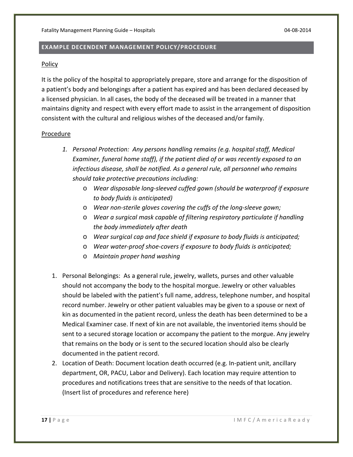#### **EXAMPLE DECENDENT MANAGEMENT POLICY/PROCEDURE**

#### Policy

It is the policy of the hospital to appropriately prepare, store and arrange for the disposition of a patient's body and belongings after a patient has expired and has been declared deceased by a licensed physician. In all cases, the body of the deceased will be treated in a manner that maintains dignity and respect with every effort made to assist in the arrangement of disposition consistent with the cultural and religious wishes of the deceased and/or family.

#### Procedure

- *1. Personal Protection: Any persons handling remains (e.g. hospital staff, Medical Examiner, funeral home staff), if the patient died of or was recently exposed to an infectious disease, shall be notified. As a general rule, all personnel who remains should take protective precautions including:*
	- o *Wear disposable long‐sleeved cuffed gown (should be waterproof if exposure to body fluids is anticipated)*
	- o *Wear non‐sterile gloves covering the cuffs of the long‐sleeve gown;*
	- o *Wear a surgical mask capable of filtering respiratory particulate if handling the body immediately after death*
	- o *Wear surgical cap and face shield if exposure to body fluids is anticipated;*
	- o *Wear water‐proof shoe‐covers if exposure to body fluids is anticipated;*
	- o *Maintain proper hand washing*
- 1. Personal Belongings: As a general rule, jewelry, wallets, purses and other valuable should not accompany the body to the hospital morgue. Jewelry or other valuables should be labeled with the patient's full name, address, telephone number, and hospital record number. Jewelry or other patient valuables may be given to a spouse or next of kin as documented in the patient record, unless the death has been determined to be a Medical Examiner case. If next of kin are not available, the inventoried items should be sent to a secured storage location or accompany the patient to the morgue. Any jewelry that remains on the body or is sent to the secured location should also be clearly documented in the patient record.
- 2. Location of Death: Document location death occurred (e.g. In‐patient unit, ancillary department, OR, PACU, Labor and Delivery). Each location may require attention to procedures and notifications trees that are sensitive to the needs of that location. (Insert list of procedures and reference here)